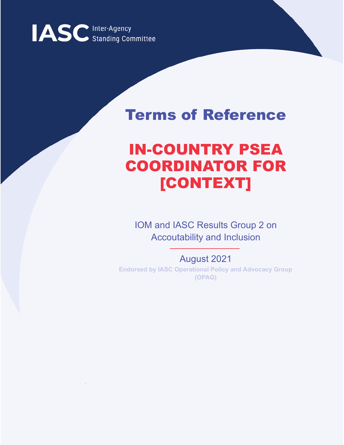

# Terms of Reference

# IN-COUNTRY PSEA COORDINATOR FOR [CONTEXT]

IOM and IASC Results Group 2 on Accoutability and Inclusion

August 2021 **Endorsed by IASC Operational Policy and Advocacy Group (OPAG)**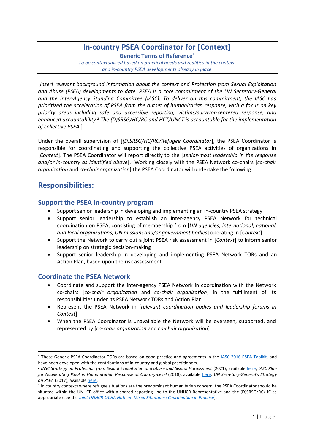## **In-country PSEA Coordinator for [Context] Generic Terms of Reference<sup>1</sup>**

*To be contextualized based on practical needs and realities in the context, and in-country PSEA developments already in place.*

[*Insert relevant background information about the context and Protection from Sexual Exploitation and Abuse (PSEA) developments to date. PSEA is a core commitment of the UN Secretary-General and the Inter-Agency Standing Committee (IASC). To deliver on this commitment, the IASC has prioritized the acceleration of PSEA from the outset of humanitarian response, with a focus on key priority areas including safe and accessible reporting, victims/survivor-centered response, and enhanced accountability.<sup>2</sup> The (D)SRSG/HC/RC and HCT/UNCT is accountable for the implementation of collective PSEA.*]

Under the overall supervision of [*(D)SRSG/HC/RC/Refugee Coordinator*], the PSEA Coordinator is responsible for coordinating and supporting the collective PSEA activities of organizations in [*Context*]. The PSEA Coordinator will report directly to the [*senior-most leadership in the response* and/or in-country as identified above].<sup>3</sup> Working closely with the PSEA Network co-chairs [co-chair *organization* and *co-chair organization*] the PSEA Coordinator will undertake the following:

## **Responsibilities:**

## **Support the PSEA in-country program**

- Support senior leadership in developing and implementing an in-country PSEA strategy
- Support senior leadership to establish an inter-agency PSEA Network for technical coordination on PSEA, consisting of membership from [*UN agencies; international, national, and local organizations; UN mission; and/or government bodies*] operating in [*Context*]
- Support the Network to carry out a joint PSEA risk assessment in [*Context*] to inform senior leadership on strategic decision-making
- Support senior leadership in developing and implementing PSEA Network TORs and an Action Plan, based upon the risk assessment

## **Coordinate the PSEA Network**

- Coordinate and support the inter-agency PSEA Network in coordination with the Network co-chairs [*co-chair organization* and *co-chair organization*] in the fulfillment of its responsibilities under its PSEA Network TORs and Action Plan
- Represent the PSEA Network in [*relevant coordination bodies and leadership forums in Context*]
- When the PSEA Coordinator is unavailable the Network will be overseen, supported, and represented by [*co-chair organization* and *co-chair organization*]

<sup>1</sup> These Generic PSEA Coordinator TORs are based on good practice and agreements in the [IASC 2016 PSEA Toolkit,](https://interagencystandingcommittee.org/node/17836) and have been developed with the contributions of in-country and global practitioners.

<sup>2</sup> *IASC Strategy on Protection from Sexual Exploitation and abuse and Sexual Harassment* (2021), available [here;](https://psea.interagencystandingcommittee.org/sites/default/files/2021-04/Strategy-%20Protection%20from%20and%20response%20to%20Sexual%20Exploitation%20and%20Abuse%20%28SEA%29%20and%20Sexual%20Harassment%20%28SH%29.pdf) *IASC Plan for Accelerating PSEA in Humanitarian Response at Country-Level* (2018), available [here;](https://psea.interagencystandingcommittee.org/sites/default/files/2020-06/iasc_plan_for_accelerating_psea_in_humanitarian_response.pdf) *UN Secretary-General's Strategy on PSEA* (2017), available [here.](https://undocs.org/A/71/818)

<sup>&</sup>lt;sup>3</sup> In country contexts where refugee situations are the predominant humanitarian concern, the PSEA Coordinator should be situated within the UNHCR office with a shared reporting line to the UNHCR Representative and the (D)SRSG/RC/HC as appropriate (see the *[Joint UNHCR-OCHA Note on Mixed Situations: Coordination in Practice](https://www.unhcr.org/53679e679.pdf)*).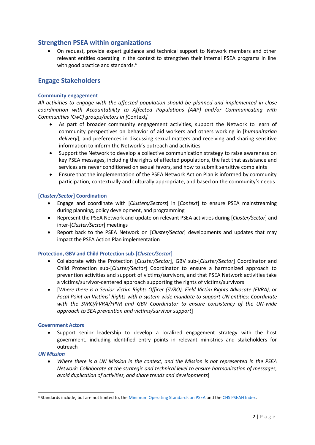## **Strengthen PSEA within organizations**

• On request, provide expert guidance and technical support to Network members and other relevant entities operating in the context to strengthen their internal PSEA programs in line with good practice and standards.<sup>4</sup>

## **Engage Stakeholders**

#### **Community engagement**

*All activities to engage with the affected population should be planned and implemented in close coordination with Accountability to Affected Populations (AAP) and/or Communicating with Communities (CwC) groups/actors in [*Context*]*

- As part of broader community engagement activities, support the Network to learn of community perspectives on behavior of aid workers and others working in [*humanitarian delivery*], and preferences in discussing sexual matters and receiving and sharing sensitive information to inform the Network's outreach and activities
- Support the Network to develop a collective communication strategy to raise awareness on key PSEA messages, including the rights of affected populations, the fact that assistance and services are never conditioned on sexual favors, and how to submit sensitive complaints
- Ensure that the implementation of the PSEA Network Action Plan is informed by community participation, contextually and culturally appropriate, and based on the community's needs

#### **[***Cluster/Sector***] Coordination**

- Engage and coordinate with [*Clusters/Sectors*] in [*Context*] to ensure PSEA mainstreaming during planning, policy development, and programming
- Represent the PSEA Network and update on relevant PSEA activities during [*Cluster/Sector*] and inter-[*Cluster/Sector*] meetings
- Report back to the PSEA Network on [*Cluster/Sector*] developments and updates that may impact the PSEA Action Plan implementation

#### **Protection, GBV and Child Protection sub-[***Cluster/Sector***]**

- Collaborate with the Protection [*Cluster/Sector*], GBV sub-[*Cluster/Sector*] Coordinator and Child Protection sub-[*Cluster/Sector*] Coordinator to ensure a harmonized approach to prevention activities and support of victims/survivors, and that PSEA Network activities take a victims/survivor-centered approach supporting the rights of victims/survivors
- [*Where there is a Senior Victim Rights Officer (SVRO), Field Victim Rights Advocate (FVRA), or Focal Point on Victims' Rights with a system-wide mandate to support UN entities: Coordinate with the SVRO/FVRA/FPVR and GBV Coordinator to ensure consistency of the UN-wide approach to SEA prevention and victims/survivor support*]

#### **Government Actors**

• Support senior leadership to develop a localized engagement strategy with the host government, including identified entry points in relevant ministries and stakeholders for outreach

#### *UN Mission*

• *Where there is a UN Mission in the context, and the Mission is not represented in the PSEA Network: Collaborate at the strategic and technical level to ensure harmonization of messages, avoid duplication of activities, and share trends and developments*]

<sup>4</sup> Standards include, but are not limited to, th[e Minimum Operating Standards on PSEA](https://aap-inclusion-psea.alnap.org/help-library/Minimum%20Operating%20Standards%20on%20PSEA) and th[e CHS PSEAH Index.](https://www.chsalliance.org/get-support/resource/CHS)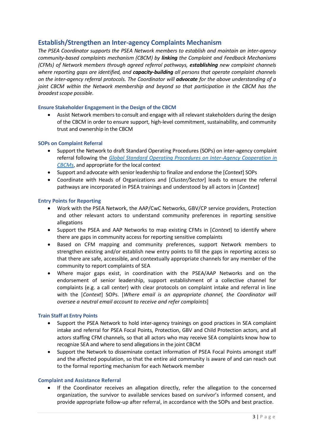## **Establish/Strengthen an Inter-agency Complaints Mechanism**

*The PSEA Coordinator supports the PSEA Network members to establish and maintain an inter-agency community-based complaints mechanism (CBCM) by linking the Complaint and Feedback Mechanisms (CFMs) of Network members through agreed referral pathways, establishing new complaint channels where reporting gaps are identified, and capacity-building all persons that operate complaint channels on the inter-agency referral protocols. The Coordinator will advocate for the above understanding of a joint CBCM within the Network membership and beyond so that participation in the CBCM has the broadest scope possible.*

#### **Ensure Stakeholder Engagement in the Design of the CBCM**

• Assist Network members to consult and engage with all relevant stakeholders during the design of the CBCM in order to ensure support, high-level commitment, sustainability, and community trust and ownership in the CBCM

#### **SOPs on Complaint Referral**

- Support the Network to draft Standard Operating Procedures (SOPs) on inter-agency complaint referral following the *[Global Standard Operating Procedures on Inter-Agency Cooperation in](https://interagencystandingcommittee.org/accountability-affected-populations-including-protection-sexual-exploitation-and-abuse/documents-51)  [CBCMs](https://interagencystandingcommittee.org/accountability-affected-populations-including-protection-sexual-exploitation-and-abuse/documents-51)*, and appropriate for the local context
- Support and advocate with senior leadership to finalize and endorse the [*Context*] SOPs
- Coordinate with Heads of Organizations and [*Cluster/Sector*] leads to ensure the referral pathways are incorporated in PSEA trainings and understood by all actors in [*Context*]

#### **Entry Points for Reporting**

- Work with the PSEA Network, the AAP/CwC Networks, GBV/CP service providers, Protection and other relevant actors to understand community preferences in reporting sensitive allegations
- Support the PSEA and AAP Networks to map existing CFMs in [*Context*] to identify where there are gaps in community access for reporting sensitive complaints
- Based on CFM mapping and community preferences, support Network members to strengthen existing and/or establish new entry points to fill the gaps in reporting access so that there are safe, accessible, and contextually appropriate channels for any member of the community to report complaints of SEA
- Where major gaps exist, in coordination with the PSEA/AAP Networks and on the endorsement of senior leadership, support establishment of a collective channel for complaints (e.g. a call center) with clear protocols on complaint intake and referral in line with the [*Context*] SOPs. [*Where email is an appropriate channel, the Coordinator will oversee a neutral email account to receive and refer complaints*]

#### **Train Staff at Entry Points**

- Support the PSEA Network to hold inter-agency trainings on good practices in SEA complaint intake and referral for PSEA Focal Points, Protection, GBV and Child Protection actors, and all actors staffing CFM channels, so that all actors who may receive SEA complaints know how to recognize SEA and where to send allegations in the joint CBCM
- Support the Network to disseminate contact information of PSEA Focal Points amongst staff and the affected population, so that the entire aid community is aware of and can reach out to the formal reporting mechanism for each Network member

#### **Complaint and Assistance Referral**

• If the Coordinator receives an allegation directly, refer the allegation to the concerned organization, the survivor to available services based on survivor's informed consent, and provide appropriate follow-up after referral, in accordance with the SOPs and best practice.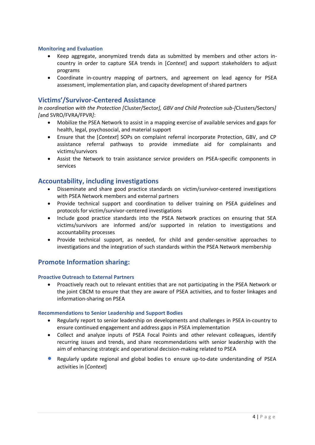#### **Monitoring and Evaluation**

- Keep aggregate, anonymized trends data as submitted by members and other actors incountry in order to capture SEA trends in [*Context*] and support stakeholders to adjust programs
- Coordinate in-country mapping of partners, and agreement on lead agency for PSEA assessment, implementation plan, and capacity development of shared partners

## **Victims'/Survivor-Centered Assistance**

*In coordination with the Protection [*Cluster/Sector*], GBV and Child Protection sub-[*Clusters/Sectors*] [*and SVRO/FVRA/FPVR*]*:

- Mobilize the PSEA Network to assist in a mapping exercise of available services and gaps for health, legal, psychosocial, and material support
- Ensure that the [*Context*] SOPs on complaint referral incorporate Protection, GBV, and CP assistance referral pathways to provide immediate aid for complainants and victims/survivors
- Assist the Network to train assistance service providers on PSEA-specific components in services

## **Accountability, including investigations**

- Disseminate and share good practice standards on victim/survivor-centered investigations with PSEA Network members and external partners
- Provide technical support and coordination to deliver training on PSEA guidelines and protocols for victim/survivor-centered investigations
- Include good practice standards into the PSEA Network practices on ensuring that SEA victims/survivors are informed and/or supported in relation to investigations and accountability processes
- Provide technical support, as needed, for child and gender-sensitive approaches to investigations and the integration of such standards within the PSEA Network membership

## **Promote Information sharing:**

#### **Proactive Outreach to External Partners**

• Proactively reach out to relevant entities that are not participating in the PSEA Network or the joint CBCM to ensure that they are aware of PSEA activities, and to foster linkages and information-sharing on PSEA

#### **Recommendations to Senior Leadership and Support Bodies**

- Regularly report to senior leadership on developments and challenges in PSEA in-country to ensure continued engagement and address gaps in PSEA implementation
- Collect and analyze inputs of PSEA Focal Points and other relevant colleagues, identify recurring issues and trends, and share recommendations with senior leadership with the aim of enhancing strategic and operational decision-making related to PSEA
- Regularly update regional and global bodies to ensure up-to-date understanding of PSEA activities in [*Context*]